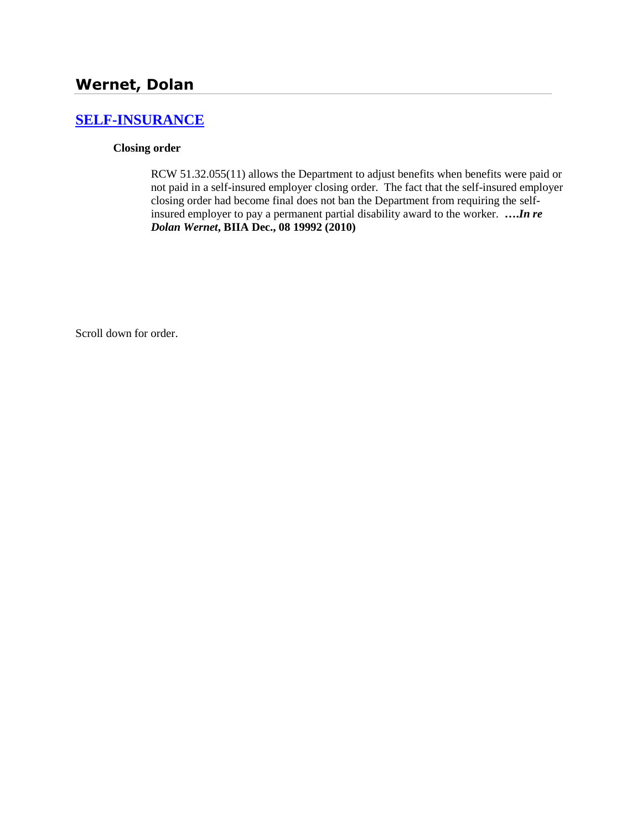# **[SELF-INSURANCE](http://www.biia.wa.gov/SDSubjectIndex.html#SELF_INSURANCE)**

### **Closing order**

RCW 51.32.055(11) allows the Department to adjust benefits when benefits were paid or not paid in a self-insured employer closing order. The fact that the self-insured employer closing order had become final does not ban the Department from requiring the selfinsured employer to pay a permanent partial disability award to the worker. **….***In re Dolan Wernet***, BIIA Dec., 08 19992 (2010)**

Scroll down for order.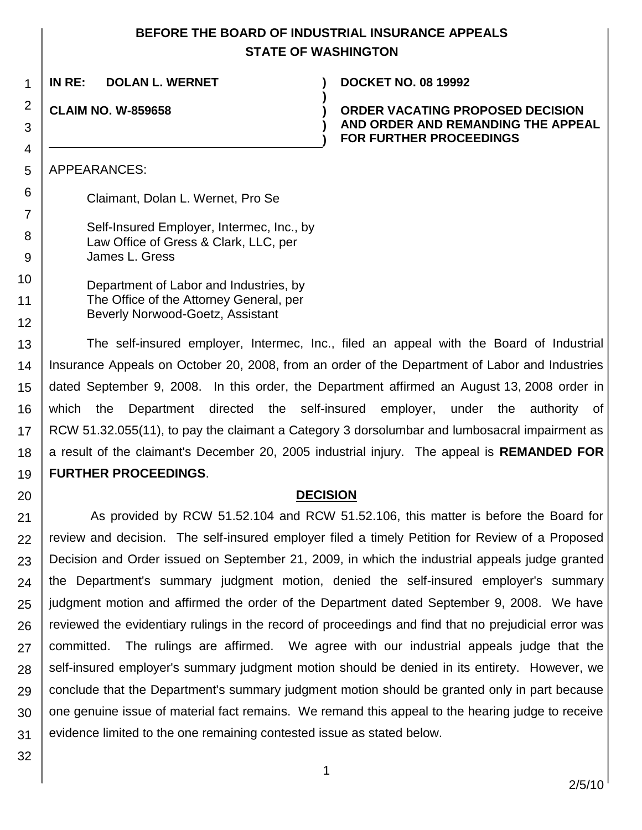# **BEFORE THE BOARD OF INDUSTRIAL INSURANCE APPEALS STATE OF WASHINGTON**

**)**

**) )**

**IN RE: DOLAN L. WERNET ) DOCKET NO. 08 19992**

**CLAIM NO. W-859658 )**

1

2

3

4

5

6

7

8 9

10

11

12

20

**ORDER VACATING PROPOSED DECISION AND ORDER AND REMANDING THE APPEAL FOR FURTHER PROCEEDINGS**

APPEARANCES:

Claimant, Dolan L. Wernet, Pro Se

Self-Insured Employer, Intermec, Inc., by Law Office of Gress & Clark, LLC, per James L. Gress

Department of Labor and Industries, by The Office of the Attorney General, per Beverly Norwood-Goetz, Assistant

13 14 15 16 17 18 19 The self-insured employer, Intermec, Inc., filed an appeal with the Board of Industrial Insurance Appeals on October 20, 2008, from an order of the Department of Labor and Industries dated September 9, 2008. In this order, the Department affirmed an August 13, 2008 order in which the Department directed the self-insured employer, under the authority of RCW 51.32.055(11), to pay the claimant a Category 3 dorsolumbar and lumbosacral impairment as a result of the claimant's December 20, 2005 industrial injury. The appeal is **REMANDED FOR FURTHER PROCEEDINGS**.

## **DECISION**

21 22 23 24 25 26 27 28 29 30 31 As provided by RCW 51.52.104 and RCW 51.52.106, this matter is before the Board for review and decision. The self-insured employer filed a timely Petition for Review of a Proposed Decision and Order issued on September 21, 2009, in which the industrial appeals judge granted the Department's summary judgment motion, denied the self-insured employer's summary judgment motion and affirmed the order of the Department dated September 9, 2008. We have reviewed the evidentiary rulings in the record of proceedings and find that no prejudicial error was committed. The rulings are affirmed. We agree with our industrial appeals judge that the self-insured employer's summary judgment motion should be denied in its entirety. However, we conclude that the Department's summary judgment motion should be granted only in part because one genuine issue of material fact remains. We remand this appeal to the hearing judge to receive evidence limited to the one remaining contested issue as stated below.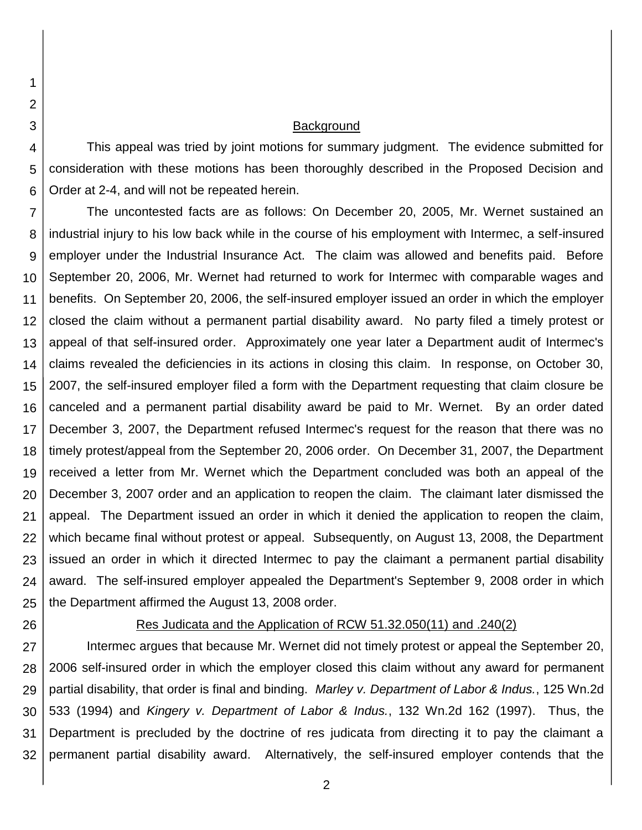#### **Background**

4 This appeal was tried by joint motions for summary judgment. The evidence submitted for consideration with these motions has been thoroughly described in the Proposed Decision and Order at 2-4, and will not be repeated herein.

7 8 9 10 11 12 13 14 15 16 17 18 19 20 21 22 23 24 25 The uncontested facts are as follows: On December 20, 2005, Mr. Wernet sustained an industrial injury to his low back while in the course of his employment with Intermec, a self-insured employer under the Industrial Insurance Act. The claim was allowed and benefits paid. Before September 20, 2006, Mr. Wernet had returned to work for Intermec with comparable wages and benefits. On September 20, 2006, the self-insured employer issued an order in which the employer closed the claim without a permanent partial disability award. No party filed a timely protest or appeal of that self-insured order. Approximately one year later a Department audit of Intermec's claims revealed the deficiencies in its actions in closing this claim. In response, on October 30, 2007, the self-insured employer filed a form with the Department requesting that claim closure be canceled and a permanent partial disability award be paid to Mr. Wernet. By an order dated December 3, 2007, the Department refused Intermec's request for the reason that there was no timely protest/appeal from the September 20, 2006 order. On December 31, 2007, the Department received a letter from Mr. Wernet which the Department concluded was both an appeal of the December 3, 2007 order and an application to reopen the claim. The claimant later dismissed the appeal. The Department issued an order in which it denied the application to reopen the claim, which became final without protest or appeal. Subsequently, on August 13, 2008, the Department issued an order in which it directed Intermec to pay the claimant a permanent partial disability award. The self-insured employer appealed the Department's September 9, 2008 order in which the Department affirmed the August 13, 2008 order.

26

1

2

3

5

6

### Res Judicata and the Application of RCW 51.32.050(11) and .240(2)

27 28 29 30 31 32 Intermec argues that because Mr. Wernet did not timely protest or appeal the September 20, 2006 self-insured order in which the employer closed this claim without any award for permanent partial disability, that order is final and binding. *Marley v. Department of Labor & Indus.*, 125 Wn.2d 533 (1994) and *Kingery v. Department of Labor & Indus.*, 132 Wn.2d 162 (1997). Thus, the Department is precluded by the doctrine of res judicata from directing it to pay the claimant a permanent partial disability award. Alternatively, the self-insured employer contends that the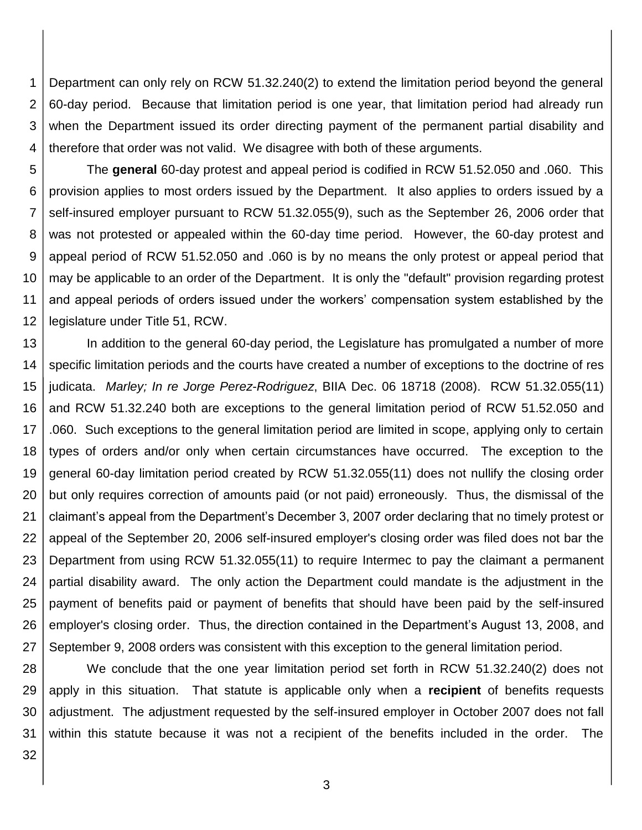1 2 3 4 Department can only rely on RCW 51.32.240(2) to extend the limitation period beyond the general 60-day period. Because that limitation period is one year, that limitation period had already run when the Department issued its order directing payment of the permanent partial disability and therefore that order was not valid. We disagree with both of these arguments.

5 6 7 8 9 10 11 12 The **general** 60-day protest and appeal period is codified in RCW 51.52.050 and .060. This provision applies to most orders issued by the Department. It also applies to orders issued by a self-insured employer pursuant to RCW 51.32.055(9), such as the September 26, 2006 order that was not protested or appealed within the 60-day time period. However, the 60-day protest and appeal period of RCW 51.52.050 and .060 is by no means the only protest or appeal period that may be applicable to an order of the Department. It is only the "default" provision regarding protest and appeal periods of orders issued under the workers' compensation system established by the legislature under Title 51, RCW.

13 14 15 16 17 18 19 20 21 22 23 24 25 26 27 In addition to the general 60-day period, the Legislature has promulgated a number of more specific limitation periods and the courts have created a number of exceptions to the doctrine of res judicata. *Marley; In re Jorge Perez-Rodriguez*, BIIA Dec. 06 18718 (2008). RCW 51.32.055(11) and RCW 51.32.240 both are exceptions to the general limitation period of RCW 51.52.050 and .060. Such exceptions to the general limitation period are limited in scope, applying only to certain types of orders and/or only when certain circumstances have occurred. The exception to the general 60-day limitation period created by RCW 51.32.055(11) does not nullify the closing order but only requires correction of amounts paid (or not paid) erroneously. Thus, the dismissal of the claimant's appeal from the Department's December 3, 2007 order declaring that no timely protest or appeal of the September 20, 2006 self-insured employer's closing order was filed does not bar the Department from using RCW 51.32.055(11) to require Intermec to pay the claimant a permanent partial disability award. The only action the Department could mandate is the adjustment in the payment of benefits paid or payment of benefits that should have been paid by the self-insured employer's closing order. Thus, the direction contained in the Department's August 13, 2008, and September 9, 2008 orders was consistent with this exception to the general limitation period.

28 29 30 31 We conclude that the one year limitation period set forth in RCW 51.32.240(2) does not apply in this situation. That statute is applicable only when a **recipient** of benefits requests adjustment. The adjustment requested by the self-insured employer in October 2007 does not fall within this statute because it was not a recipient of the benefits included in the order. The

32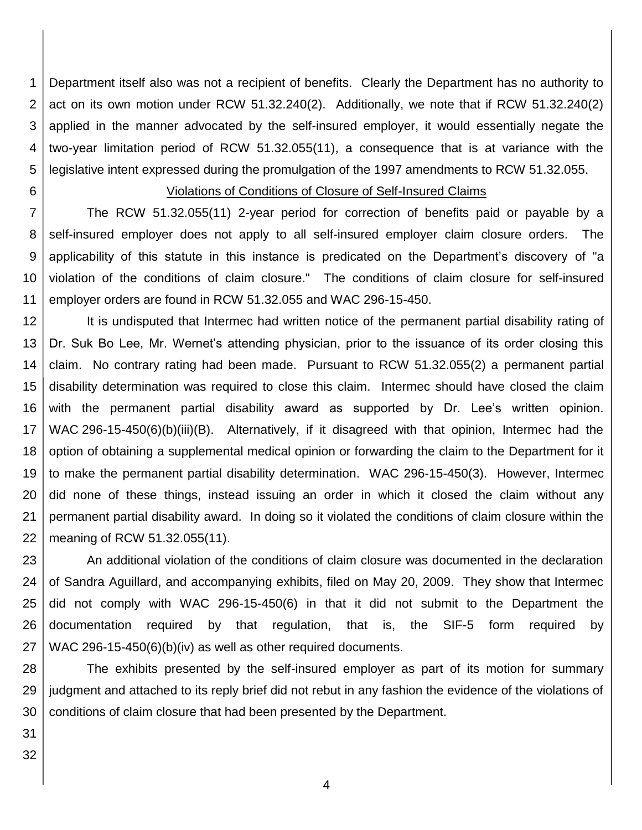1 2 3 4 5 Department itself also was not a recipient of benefits. Clearly the Department has no authority to act on its own motion under RCW 51.32.240(2). Additionally, we note that if RCW 51.32.240(2) applied in the manner advocated by the self-insured employer, it would essentially negate the two-year limitation period of RCW 51.32.055(11), a consequence that is at variance with the legislative intent expressed during the promulgation of the 1997 amendments to RCW 51.32.055.

6

## Violations of Conditions of Closure of Self-Insured Claims

7 8 9 10 11 The RCW 51.32.055(11) 2-year period for correction of benefits paid or payable by a self-insured employer does not apply to all self-insured employer claim closure orders. The applicability of this statute in this instance is predicated on the Department's discovery of "a violation of the conditions of claim closure." The conditions of claim closure for self-insured employer orders are found in RCW 51.32.055 and WAC 296-15-450.

12 13 14 15 16 17 18 19 20 21 22 It is undisputed that Intermec had written notice of the permanent partial disability rating of Dr. Suk Bo Lee, Mr. Wernet's attending physician, prior to the issuance of its order closing this claim. No contrary rating had been made. Pursuant to RCW 51.32.055(2) a permanent partial disability determination was required to close this claim. Intermec should have closed the claim with the permanent partial disability award as supported by Dr. Lee's written opinion. WAC 296-15-450(6)(b)(iii)(B). Alternatively, if it disagreed with that opinion, Intermec had the option of obtaining a supplemental medical opinion or forwarding the claim to the Department for it to make the permanent partial disability determination. WAC 296-15-450(3). However, Intermec did none of these things, instead issuing an order in which it closed the claim without any permanent partial disability award. In doing so it violated the conditions of claim closure within the meaning of RCW 51.32.055(11).

23 24 25 26 27 An additional violation of the conditions of claim closure was documented in the declaration of Sandra Aguillard, and accompanying exhibits, filed on May 20, 2009. They show that Intermec did not comply with WAC 296-15-450(6) in that it did not submit to the Department the documentation required by that regulation, that is, the SIF-5 form required by WAC 296-15-450(6)(b)(iv) as well as other required documents.

28 29 30 The exhibits presented by the self-insured employer as part of its motion for summary judgment and attached to its reply brief did not rebut in any fashion the evidence of the violations of conditions of claim closure that had been presented by the Department.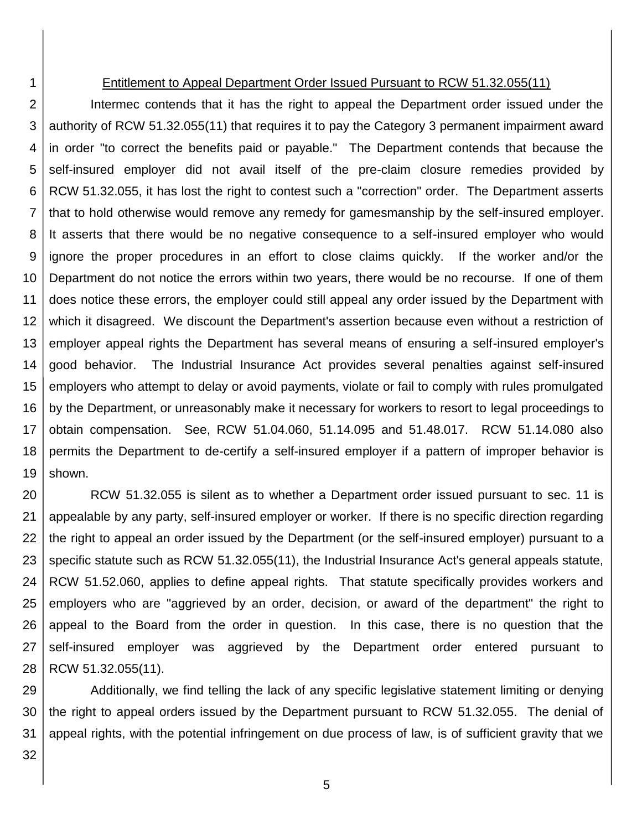#### Entitlement to Appeal Department Order Issued Pursuant to RCW 51.32.055(11)

2 3 4 5 6 7 8 9 10 11 12 13 14 15 16 17 18 19 Intermec contends that it has the right to appeal the Department order issued under the authority of RCW 51.32.055(11) that requires it to pay the Category 3 permanent impairment award in order "to correct the benefits paid or payable." The Department contends that because the self-insured employer did not avail itself of the pre-claim closure remedies provided by RCW 51.32.055, it has lost the right to contest such a "correction" order. The Department asserts that to hold otherwise would remove any remedy for gamesmanship by the self-insured employer. It asserts that there would be no negative consequence to a self-insured employer who would ignore the proper procedures in an effort to close claims quickly. If the worker and/or the Department do not notice the errors within two years, there would be no recourse. If one of them does notice these errors, the employer could still appeal any order issued by the Department with which it disagreed. We discount the Department's assertion because even without a restriction of employer appeal rights the Department has several means of ensuring a self-insured employer's good behavior. The Industrial Insurance Act provides several penalties against self-insured employers who attempt to delay or avoid payments, violate or fail to comply with rules promulgated by the Department, or unreasonably make it necessary for workers to resort to legal proceedings to obtain compensation. See, RCW 51.04.060, 51.14.095 and 51.48.017. RCW 51.14.080 also permits the Department to de-certify a self-insured employer if a pattern of improper behavior is shown.

20 21 22 23 24 25 26 27 28 RCW 51.32.055 is silent as to whether a Department order issued pursuant to sec. 11 is appealable by any party, self-insured employer or worker. If there is no specific direction regarding the right to appeal an order issued by the Department (or the self-insured employer) pursuant to a specific statute such as RCW 51.32.055(11), the Industrial Insurance Act's general appeals statute, RCW 51.52.060, applies to define appeal rights. That statute specifically provides workers and employers who are "aggrieved by an order, decision, or award of the department" the right to appeal to the Board from the order in question. In this case, there is no question that the self-insured employer was aggrieved by the Department order entered pursuant to RCW 51.32.055(11).

29 30 31 Additionally, we find telling the lack of any specific legislative statement limiting or denying the right to appeal orders issued by the Department pursuant to RCW 51.32.055. The denial of appeal rights, with the potential infringement on due process of law, is of sufficient gravity that we

32

1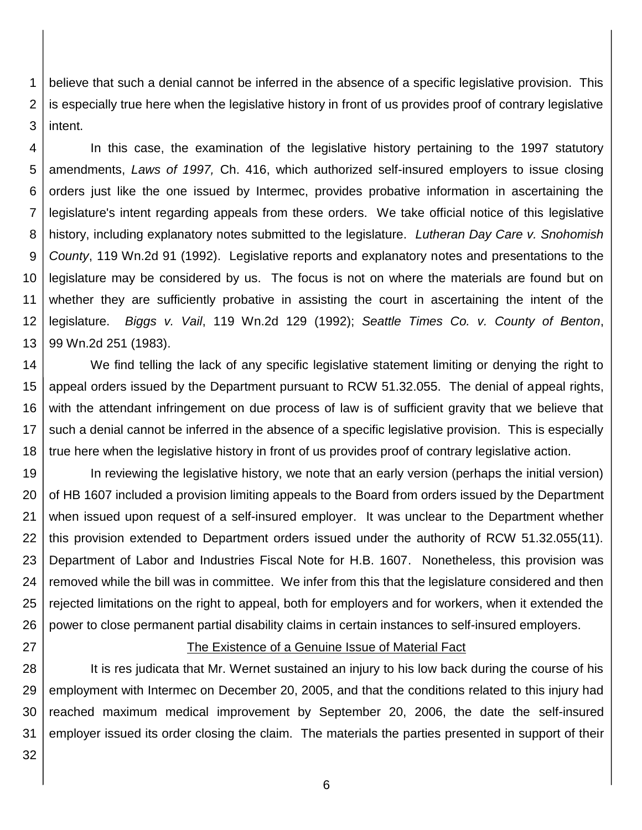1 2 3 believe that such a denial cannot be inferred in the absence of a specific legislative provision. This is especially true here when the legislative history in front of us provides proof of contrary legislative intent.

4 5 6 7 8 9 10 11 12 13 In this case, the examination of the legislative history pertaining to the 1997 statutory amendments, *Laws of 1997,* Ch. 416, which authorized self-insured employers to issue closing orders just like the one issued by Intermec, provides probative information in ascertaining the legislature's intent regarding appeals from these orders. We take official notice of this legislative history, including explanatory notes submitted to the legislature. *Lutheran Day Care v. Snohomish County*, 119 Wn.2d 91 (1992). Legislative reports and explanatory notes and presentations to the legislature may be considered by us. The focus is not on where the materials are found but on whether they are sufficiently probative in assisting the court in ascertaining the intent of the legislature. *Biggs v. Vail*, 119 Wn.2d 129 (1992); *Seattle Times Co. v. County of Benton*, 99 Wn.2d 251 (1983).

14 15 16 17 18 We find telling the lack of any specific legislative statement limiting or denying the right to appeal orders issued by the Department pursuant to RCW 51.32.055. The denial of appeal rights, with the attendant infringement on due process of law is of sufficient gravity that we believe that such a denial cannot be inferred in the absence of a specific legislative provision. This is especially true here when the legislative history in front of us provides proof of contrary legislative action.

19 20 21 22 23 24 25 26 In reviewing the legislative history, we note that an early version (perhaps the initial version) of HB 1607 included a provision limiting appeals to the Board from orders issued by the Department when issued upon request of a self-insured employer. It was unclear to the Department whether this provision extended to Department orders issued under the authority of RCW 51.32.055(11). Department of Labor and Industries Fiscal Note for H.B. 1607. Nonetheless, this provision was removed while the bill was in committee. We infer from this that the legislature considered and then rejected limitations on the right to appeal, both for employers and for workers, when it extended the power to close permanent partial disability claims in certain instances to self-insured employers.

27

# The Existence of a Genuine Issue of Material Fact

28 29 30 31 It is res judicata that Mr. Wernet sustained an injury to his low back during the course of his employment with Intermec on December 20, 2005, and that the conditions related to this injury had reached maximum medical improvement by September 20, 2006, the date the self-insured employer issued its order closing the claim. The materials the parties presented in support of their

32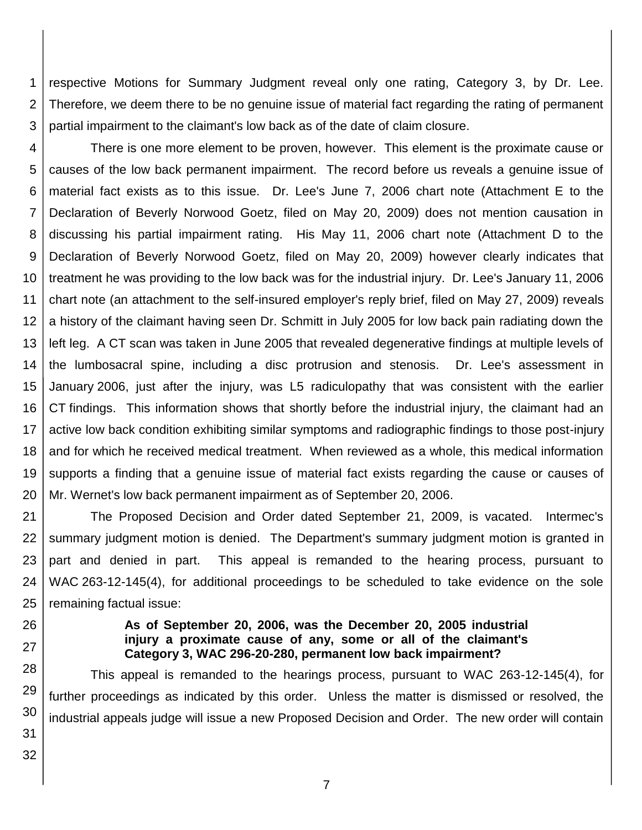1 2 3 respective Motions for Summary Judgment reveal only one rating, Category 3, by Dr. Lee. Therefore, we deem there to be no genuine issue of material fact regarding the rating of permanent partial impairment to the claimant's low back as of the date of claim closure.

4 5 6 7 8 9 10 11 12 13 14 15 16 17 18 19 20 There is one more element to be proven, however. This element is the proximate cause or causes of the low back permanent impairment. The record before us reveals a genuine issue of material fact exists as to this issue. Dr. Lee's June 7, 2006 chart note (Attachment E to the Declaration of Beverly Norwood Goetz, filed on May 20, 2009) does not mention causation in discussing his partial impairment rating. His May 11, 2006 chart note (Attachment D to the Declaration of Beverly Norwood Goetz, filed on May 20, 2009) however clearly indicates that treatment he was providing to the low back was for the industrial injury. Dr. Lee's January 11, 2006 chart note (an attachment to the self-insured employer's reply brief, filed on May 27, 2009) reveals a history of the claimant having seen Dr. Schmitt in July 2005 for low back pain radiating down the left leg. A CT scan was taken in June 2005 that revealed degenerative findings at multiple levels of the lumbosacral spine, including a disc protrusion and stenosis. Dr. Lee's assessment in January 2006, just after the injury, was L5 radiculopathy that was consistent with the earlier CT findings. This information shows that shortly before the industrial injury, the claimant had an active low back condition exhibiting similar symptoms and radiographic findings to those post-injury and for which he received medical treatment. When reviewed as a whole, this medical information supports a finding that a genuine issue of material fact exists regarding the cause or causes of Mr. Wernet's low back permanent impairment as of September 20, 2006.

21 22 23 24 25 The Proposed Decision and Order dated September 21, 2009, is vacated. Intermec's summary judgment motion is denied. The Department's summary judgment motion is granted in part and denied in part. This appeal is remanded to the hearing process, pursuant to WAC 263-12-145(4), for additional proceedings to be scheduled to take evidence on the sole remaining factual issue:

26

27

### **As of September 20, 2006, was the December 20, 2005 industrial injury a proximate cause of any, some or all of the claimant's Category 3, WAC 296-20-280, permanent low back impairment?**

28 29 30 This appeal is remanded to the hearings process, pursuant to WAC 263-12-145(4), for further proceedings as indicated by this order. Unless the matter is dismissed or resolved, the industrial appeals judge will issue a new Proposed Decision and Order. The new order will contain